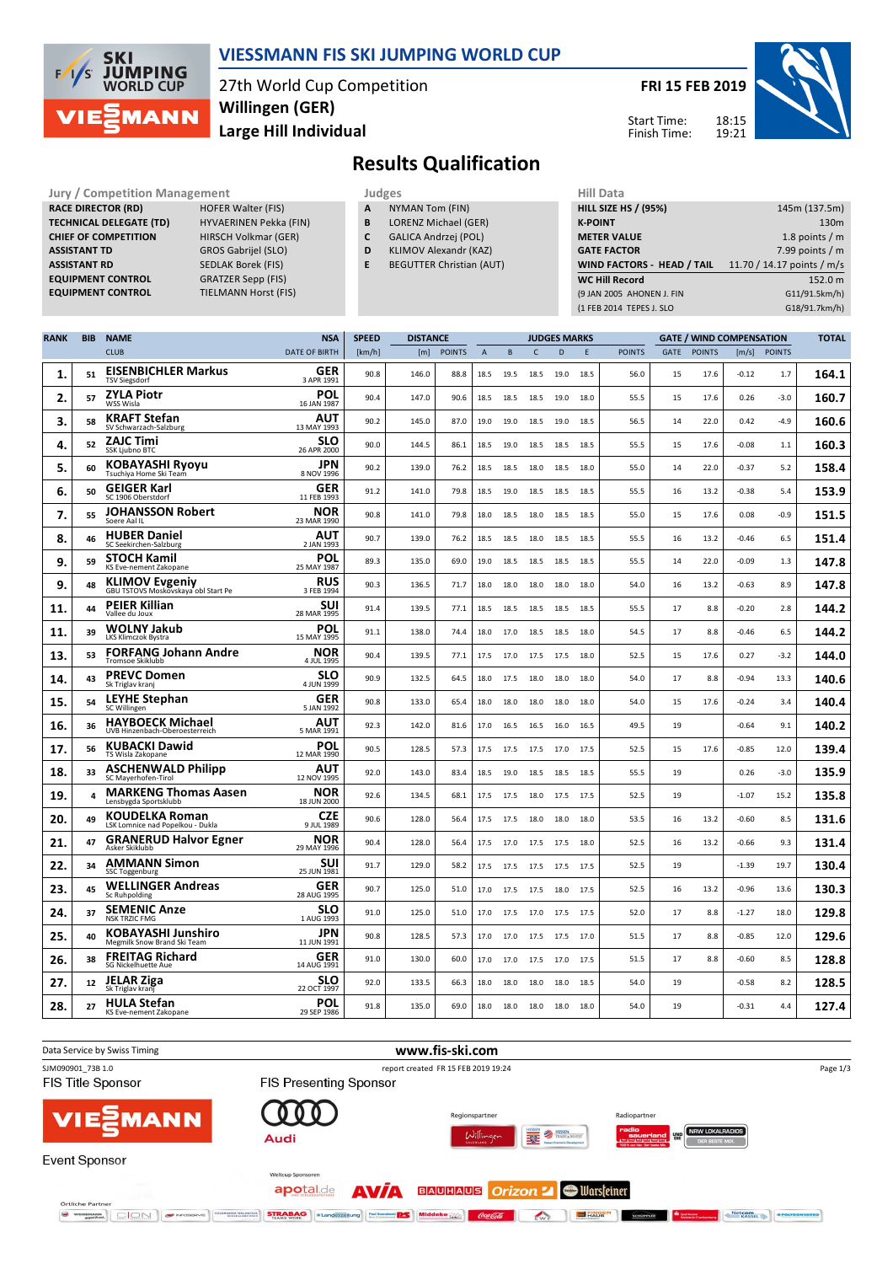

### **VIESSMANN FIS SKI JUMPING WORLD CUP**

27th World Cup Competition **Large Hill Individual Willingen (GER)**

**TIELMANN Horst (FIS)** 

**FRI 15 FEB 2019** 18:15 Start Time:

Finish Time:



# **Results Qualification**

**Jury / Competition Management Judges Hill Data**<br> **RACE DIRECTOR (RD)** HOFER Walter (FIS) **A** NYMAN Tom (FIN) **HILL SIZE H RACE DIRECTOR (RD) TECHNICAL DELEGATE (TD)** HYVAERINEN Pekka (FIN) **CHIEF OF COMPETITION** HIRSCH Volkmar (GER) **ASSISTANT TD** GROS Gabrijel (SLO) **ASSISTANT RD** SEDLAK Borek (FIS)<br>**EQUIPMENT CONTROL** GRATZER Sepp (FIS) **EQUIPMENT CONTROL**<br>EQUIPMENT CONTROL

- **A** NYMAN Tom (FIN)
- **B** LORENZ Michael (GER)
- **C** GALICA Andrzej (POL)
- **D** KLIMOV Alexandr (KAZ)
- **E** BEGUTTER Christian (AUT)

| <b>HILL SIZE HS / (95%)</b> | 145m (137.5m)              |
|-----------------------------|----------------------------|
| <b>K-POINT</b>              | 130 <sub>m</sub>           |
| <b>METER VALUE</b>          | 1.8 points $/m$            |
| <b>GATE FACTOR</b>          | 7.99 points $/m$           |
|                             |                            |
| WIND FACTORS - HEAD / TAIL  | 11.70 / 14.17 points / m/s |
| <b>WC Hill Record</b>       | 152.0 m                    |
| (9 JAN 2005 AHONEN J. FIN   | G11/91.5km/h)              |
| (1 FEB 2014 TEPES J. SLO    | G18/91.7km/h)              |

| <b>RANK</b> | <b>BIB</b>     | <b>NAME</b>                                                  | <b>NSA</b>                | <b>SPEED</b> | <b>DISTANCE</b> |               |              | <b>JUDGES MARKS</b> |              |      | <b>GATE / WIND COMPENSATION</b> |               |             |               | <b>TOTAL</b> |              |       |
|-------------|----------------|--------------------------------------------------------------|---------------------------|--------------|-----------------|---------------|--------------|---------------------|--------------|------|---------------------------------|---------------|-------------|---------------|--------------|--------------|-------|
|             |                | <b>CLUB</b>                                                  | <b>DATE OF BIRTH</b>      | [km/h]       | [m]             | <b>POINTS</b> | $\mathbf{A}$ | B                   | $\mathsf{C}$ | D    | E                               | <b>POINTS</b> | <b>GATE</b> | <b>POINTS</b> |              | [m/s] POINTS |       |
| 1.          | 51             | <b>EISENBICHLER Markus</b><br><b>TSV Siegsdorf</b>           | GER<br>3 APR 1991         | 90.8         | 146.0           | 88.8          | 18.5         | 19.5                | 18.5         | 19.0 | 18.5                            | 56.0          | 15          | 17.6          | $-0.12$      | 1.7          | 164.1 |
| 2.          | 57             | <b>ZYLA Piotr</b><br>WSS Wisla                               | POL<br>16 JAN 1987        | 90.4         | 147.0           | 90.6          | 18.5         | 18.5                | 18.5         | 19.0 | 18.0                            | 55.5          | 15          | 17.6          | 0.26         | $-3.0$       | 160.7 |
| 3.          | 58             | <b>KRAFT Stefan</b><br>SV Schwarzach-Salzburg                | AUT<br>13 MAY 1993        | 90.2         | 145.0           | 87.0          | 19.0         | 19.0                | 18.5         | 19.0 | 18.5                            | 56.5          | 14          | 22.0          | 0.42         | $-4.9$       | 160.6 |
| 4.          | 52             | <b>ZAJC Timi</b><br>SSK Ljubno BTC                           | <b>SLO</b><br>26 APR 2000 | 90.0         | 144.5           | 86.1          | 18.5         | 19.0                | 18.5         | 18.5 | 18.5                            | 55.5          | 15          | 17.6          | $-0.08$      | 1.1          | 160.3 |
| 5.          | 60             | <b>KOBAYASHI Ryovu</b><br>Tsuchiya Home Ski Team             | JPN<br>8 NOV 1996         | 90.2         | 139.0           | 76.2          | 18.5         | 18.5                | 18.0         | 18.5 | 18.0                            | 55.0          | 14          | 22.0          | $-0.37$      | 5.2          | 158.4 |
| 6.          | 50             | <b>GEIGER Karl</b><br>SC 1906 Oberstdorf                     | <b>GER</b><br>11 FEB 1993 | 91.2         | 141.0           | 79.8          | 18.5         | 19.0                | 18.5         | 18.5 | 18.5                            | 55.5          | 16          | 13.2          | $-0.38$      | 5.4          | 153.9 |
| 7.          | 55             | <b>JOHANSSON Robert</b><br>Soere Aal IL                      | <b>NOR</b><br>23 MAR 1990 | 90.8         | 141.0           | 79.8          | 18.0         | 18.5                | 18.0         | 18.5 | 18.5                            | 55.0          | 15          | 17.6          | 0.08         | $-0.9$       | 151.5 |
| 8.          | 46             | <b>HUBER Daniel</b><br>SC Seekirchen-Salzburg                | AUT<br>2 JAN 1993         | 90.7         | 139.0           | 76.2          | 18.5         | 18.5                | 18.0         | 18.5 | 18.5                            | 55.5          | 16          | 13.2          | $-0.46$      | 6.5          | 151.4 |
| 9.          | 59             | <b>STOCH Kamil</b><br>KS Eve-nement Zakopane                 | POL<br>25 MAY 1987        | 89.3         | 135.0           | 69.0          | 19.0         | 18.5                | 18.5         | 18.5 | 18.5                            | 55.5          | 14          | 22.0          | $-0.09$      | $1.3$        | 147.8 |
| 9.          | 48             | <b>KLIMOV Evgeniy</b><br>GBU TSTOVS Moskovskaya obl Start Pe | <b>RUS</b><br>3 FEB 1994  | 90.3         | 136.5           | 71.7          | 18.0         | 18.0                | 18.0         | 18.0 | 18.0                            | 54.0          | 16          | 13.2          | $-0.63$      | 8.9          | 147.8 |
| 11.         | 44             | <b>PEIER Killian</b><br>Vallee du Joux                       | SUI<br>28 MAR 1995        | 91.4         | 139.5           | 77.1          | 18.5         | 18.5                | 18.5         | 18.5 | 18.5                            | 55.5          | 17          | 8.8           | $-0.20$      | 2.8          | 144.2 |
| 11.         | 39             | <b>WOLNY Jakub</b><br>LKS Klimczok Bystra                    | POL<br>15 MAY 1995        | 91.1         | 138.0           | 74.4          | 18.0         | 17.0                | 18.5         | 18.5 | 18.0                            | 54.5          | 17          | 8.8           | $-0.46$      | 6.5          | 144.2 |
| 13.         | 53             | <b>FORFANG Johann Andre</b><br>Tromsoe Skiklubb              | <b>NOR</b><br>4 JUL 1995  | 90.4         | 139.5           | 77.1          | 17.5         | 17.0                | 17.5         | 17.5 | 18.0                            | 52.5          | 15          | 17.6          | 0.27         | $-3.2$       | 144.0 |
| 14.         | 43             | <b>PREVC Domen</b><br>Sk Triglav kranj                       | <b>SLO</b><br>4 JUN 1999  | 90.9         | 132.5           | 64.5          | 18.0         | 17.5                | 18.0         | 18.0 | 18.0                            | 54.0          | 17          | 8.8           | $-0.94$      | 13.3         | 140.6 |
| 15.         | 54             | <b>LEYHE Stephan</b><br>SC Willingen                         | <b>GER</b><br>5 JAN 1992  | 90.8         | 133.0           | 65.4          | 18.0         | 18.0                | 18.0         | 18.0 | 18.0                            | 54.0          | 15          | 17.6          | $-0.24$      | 3.4          | 140.4 |
| 16.         | 36             | <b>HAYBOECK Michael</b><br>UVB Hinzenbach-Oberoesterreich    | <b>AUT</b><br>5 MAR 1991  | 92.3         | 142.0           | 81.6          | 17.0         | 16.5                | 16.5         | 16.0 | 16.5                            | 49.5          | 19          |               | $-0.64$      | 9.1          | 140.2 |
| 17.         | 56             | <b>KUBACKI Dawid</b><br>TS Wisla Zakopane                    | POL<br>12 MAR 1990        | 90.5         | 128.5           | 57.3          | 17.5         | 17.5                | 17.5         | 17.0 | 17.5                            | 52.5          | 15          | 17.6          | $-0.85$      | 12.0         | 139.4 |
| 18.         | 33             | <b>ASCHENWALD Philipp</b><br>SC Mayerhofen-Tirol             | <b>AUT</b><br>12 NOV 1995 | 92.0         | 143.0           | 83.4          | 18.5         | 19.0                | 18.5         | 18.5 | 18.5                            | 55.5          | 19          |               | 0.26         | $-3.0$       | 135.9 |
| 19.         | $\overline{a}$ | <b>MARKENG Thomas Aasen</b><br>Lensbygda Sportsklubb         | <b>NOR</b><br>18 JUN 2000 | 92.6         | 134.5           | 68.1          | 17.5         | 17.5                | 18.0         | 17.5 | 17.5                            | 52.5          | 19          |               | $-1.07$      | 15.2         | 135.8 |
| 20.         | 49             | <b>KOUDELKA Roman</b><br>LSK Lomnice nad Popelkou - Dukla    | <b>CZE</b><br>9 JUL 1989  | 90.6         | 128.0           | 56.4          | 17.5         | 17.5                | 18.0         | 18.0 | 18.0                            | 53.5          | 16          | 13.2          | $-0.60$      | 8.5          | 131.6 |
| 21.         | 47             | <b>GRANERUD Halvor Egner</b><br>Asker Skiklubb               | <b>NOR</b><br>29 MAY 1996 | 90.4         | 128.0           | 56.4          | 17.5         | 17.0                | 17.5         | 17.5 | 18.0                            | 52.5          | 16          | 13.2          | $-0.66$      | 9.3          | 131.4 |
| 22.         | 34             | <b>AMMANN Simon</b><br>SSC Toggenburg                        | SUI<br>25 JUN 1981        | 91.7         | 129.0           | 58.2          | 17.5         | 17.5                | 17.5         | 17.5 | 17.5                            | 52.5          | 19          |               | $-1.39$      | 19.7         | 130.4 |
| 23.         | 45             | <b>WELLINGER Andreas</b><br>Sc Ruhpolding                    | <b>GER</b><br>28 AUG 1995 | 90.7         | 125.0           | 51.0          | 17.0         | 17.5 17.5           |              | 18.0 | 17.5                            | 52.5          | 16          | 13.2          | $-0.96$      | 13.6         | 130.3 |
| 24.         | 37             | <b>SEMENIC Anze</b><br><b>NSK TRZIC FMG</b>                  | <b>SLO</b><br>1 AUG 1993  | 91.0         | 125.0           | 51.0          | 17.0         | 17.5                | 17.0         | 17.5 | 17.5                            | 52.0          | 17          | 8.8           | $-1.27$      | 18.0         | 129.8 |
| 25.         | 40             | <b>KOBAYASHI Junshiro</b><br>Megmilk Snow Brand Ski Team     | JPN<br>11 JUN 1991        | 90.8         | 128.5           | 57.3          | 17.0         | 17.0                | 17.5         | 17.5 | 17.0                            | 51.5          | 17          | 8.8           | $-0.85$      | 12.0         | 129.6 |
| 26.         | 38             | <b>FREITAG Richard</b><br>SG Nickelhuette Aue                | <b>GER</b><br>14 AUG 1991 | 91.0         | 130.0           | 60.0          | 17.0         | 17.0                | 17.5         | 17.0 | 17.5                            | 51.5          | 17          | 8.8           | $-0.60$      | 8.5          | 128.8 |
| 27.         | 12             | <b>JELAR Ziga</b><br>Sk Triglav kranj                        | SLO<br>22 OCT 1997        | 92.0         | 133.5           | 66.3          | 18.0         | 18.0                | 18.0         | 18.0 | 18.5                            | 54.0          | 19          |               | $-0.58$      | 8.2          | 128.5 |
| 28.         | 27             | <b>HULA Stefan</b><br>KS Eve-nement Zakopane                 | POL<br>29 SEP 1986        | 91.8         | 135.0           | 69.0          | 18.0         | 18.0                | 18.0         | 18.0 | 18.0                            | 54.0          | 19          |               | $-0.31$      | 4.4          | 127.4 |

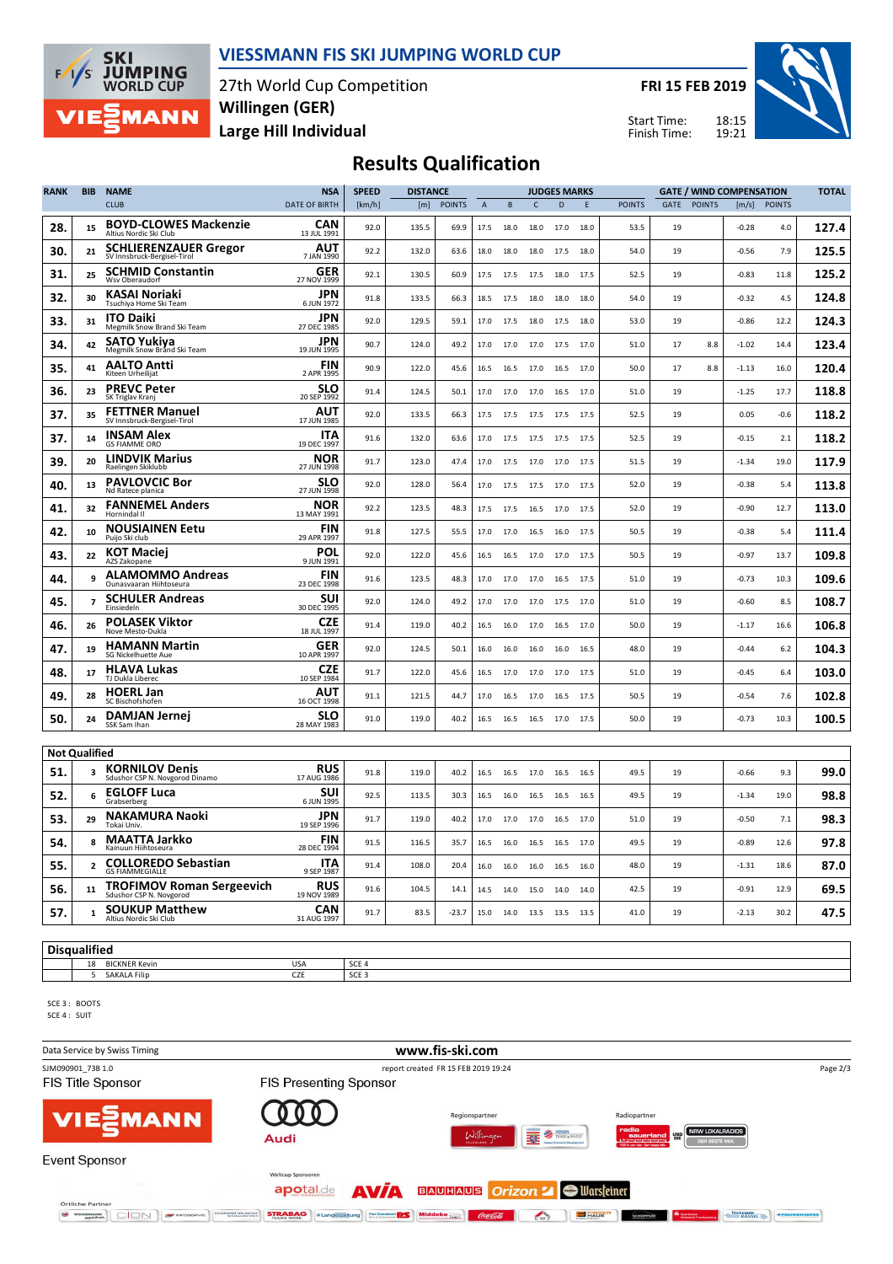

#### **VIESSMANN FIS SKI JUMPING WORLD CUP**

27th World Cup Competition **Large Hill Individual Willingen (GER)**

**FRI 15 FEB 2019**

Start Time: Finish Time:



## **Results Qualification**

| <b>RANK</b>          | <b>BIB</b>               | <b>NAME</b>                                                 | <b>NSA</b>                | <b>SPEED</b> | <b>DISTANCE</b> |               |             |      | <b>JUDGES MARKS</b> |              |      |               | <b>GATE / WIND COMPENSATION</b> |               |         |               | <b>TOTAL</b> |
|----------------------|--------------------------|-------------------------------------------------------------|---------------------------|--------------|-----------------|---------------|-------------|------|---------------------|--------------|------|---------------|---------------------------------|---------------|---------|---------------|--------------|
|                      |                          | <b>CLUB</b>                                                 | <b>DATE OF BIRTH</b>      | [km/h]       | [m]             | <b>POINTS</b> | $\mathsf A$ | B    | $\mathsf{C}$        | $\mathsf{D}$ | E    | <b>POINTS</b> | GATE                            | <b>POINTS</b> | [m/s]   | <b>POINTS</b> |              |
| 28.                  | 15                       | <b>BOYD-CLOWES Mackenzie</b><br>Altius Nordic Ski Club      | CAN<br>13 JUL 1991        | 92.0         | 135.5           | 69.9          | 17.5        | 18.0 | 18.0                | 17.0         | 18.0 | 53.5          | 19                              |               | $-0.28$ | 4.0           | 127.4        |
| 30.                  | 21                       | <b>SCHLIERENZAUER Gregor</b><br>SV Innsbruck-Bergisel-Tirol | AUT<br>7 JAN 1990         | 92.2         | 132.0           | 63.6          | 18.0        | 18.0 | 18.0                | 17.5         | 18.0 | 54.0          | 19                              |               | $-0.56$ | 7.9           | 125.5        |
| 31.                  | 25                       | <b>SCHMID Constantin</b><br>Wsv Oberaudorf                  | GER<br>27 NOV 1999        | 92.1         | 130.5           | 60.9          | 17.5        | 17.5 | 17.5                | 18.0         | 17.5 | 52.5          | 19                              |               | $-0.83$ | 11.8          | 125.2        |
| 32.                  | 30                       | KASAI Noriaki<br>Tsuchiya Home Ski Team                     | <b>JPN</b><br>6 JUN 1972  | 91.8         | 133.5           | 66.3          | 18.5        | 17.5 | 18.0                | 18.0         | 18.0 | 54.0          | 19                              |               | $-0.32$ | 4.5           | 124.8        |
| 33.                  | 31                       | <b>ITO Daiki</b><br>Megmilk Snow Brand Ski Team             | JPN<br>27 DEC 1985        | 92.0         | 129.5           | 59.1          | 17.0        | 17.5 | 18.0                | 17.5         | 18.0 | 53.0          | 19                              |               | $-0.86$ | 12.2          | 124.3        |
| 34.                  | 42                       | <b>SATO Yukiya</b><br>Megmilk Snow Brand Ski Team           | JPN<br>19 JUN 1995        | 90.7         | 124.0           | 49.2          | 17.0        | 17.0 | 17.0                | 17.5         | 17.0 | 51.0          | 17                              | 8.8           | $-1.02$ | 14.4          | 123.4        |
| 35.                  | 41                       | <b>AALTO Antti</b><br>Kiteen Urheilijat                     | <b>FIN</b><br>2 APR 1995  | 90.9         | 122.0           | 45.6          | 16.5        | 16.5 | 17.0                | 16.5         | 17.0 | 50.0          | 17                              | 8.8           | $-1.13$ | 16.0          | 120.4        |
| 36.                  | 23                       | <b>PREVC Peter</b><br>SK Triglav Kranj                      | SLO<br>20 SEP 1992        | 91.4         | 124.5           | 50.1          | 17.0        | 17.0 | 17.0                | 16.5         | 17.0 | 51.0          | 19                              |               | $-1.25$ | 17.7          | 118.8        |
| 37.                  | 35                       | <b>FETTNER Manuel</b><br>SV Innsbruck-Bergisel-Tirol        | AUT<br>17 JUN 1985        | 92.0         | 133.5           | 66.3          | 17.5        | 17.5 | 17.5                | 17.5         | 17.5 | 52.5          | 19                              |               | 0.05    | $-0.6$        | 118.2        |
| 37.                  | 14                       | <b>INSAM Alex</b><br><b>GS FIAMME ORO</b>                   | ITA<br>19 DEC 1997        | 91.6         | 132.0           | 63.6          | 17.0        | 17.5 | 17.5                | 17.5         | 17.5 | 52.5          | 19                              |               | $-0.15$ | 2.1           | 118.2        |
| 39.                  | 20                       | <b>LINDVIK Marius</b><br>Raelingen Skiklubb                 | NOR<br>27 JUN 1998        | 91.7         | 123.0           | 47.4          | 17.0        | 17.5 | 17.0                | 17.0         | 17.5 | 51.5          | 19                              |               | $-1.34$ | 19.0          | 117.9        |
| 40.                  | 13                       | <b>PAVLOVCIC Bor</b><br>Nd Ratece planica                   | SLO<br>27 JUN 1998        | 92.0         | 128.0           | 56.4          | 17.0        | 17.5 | 17.5                | 17.0         | 17.5 | 52.0          | 19                              |               | $-0.38$ | 5.4           | 113.8        |
| 41.                  | 32                       | <b>FANNEMEL Anders</b><br>Hornindal II                      | NOR<br>13 MAY 1991        | 92.2         | 123.5           | 48.3          | 17.5        | 17.5 | 16.5                | 17.0         | 17.5 | 52.0          | 19                              |               | $-0.90$ | 12.7          | 113.0        |
| 42.                  | 10                       | <b>NOUSIAINEN Eetu</b><br>Puijo Ski club                    | <b>FIN</b><br>29 APR 1997 | 91.8         | 127.5           | 55.5          | 17.0        | 17.0 | 16.5                | 16.0         | 17.5 | 50.5          | 19                              |               | $-0.38$ | 5.4           | 111.4        |
| 43.                  | 22                       | <b>KOT Maciej</b><br>AZS Zakopane                           | POL<br>9 JUN 1991         | 92.0         | 122.0           | 45.6          | 16.5        | 16.5 | 17.0                | 17.0         | 17.5 | 50.5          | 19                              |               | $-0.97$ | 13.7          | 109.8        |
| 44.                  | 9                        | <b>ALAMOMMO Andreas</b><br>Ounasvaaran Hiihtoseura          | FIN<br>23 DEC 1998        | 91.6         | 123.5           | 48.3          | 17.0        | 17.0 | 17.0                | 16.5         | 17.5 | 51.0          | 19                              |               | $-0.73$ | 10.3          | 109.6        |
| 45.                  | $\overline{\phantom{a}}$ | <b>SCHULER Andreas</b><br>Einsiedeln                        | SUI<br>30 DEC 1995        | 92.0         | 124.0           | 49.2          | 17.0        | 17.0 | 17.0                | 17.5         | 17.0 | 51.0          | 19                              |               | $-0.60$ | 8.5           | 108.7        |
| 46.                  | 26                       | <b>POLASEK Viktor</b><br>Nove Mesto-Dukla                   | <b>CZE</b><br>18 JUL 1997 | 91.4         | 119.0           | 40.2          | 16.5        | 16.0 | 17.0                | 16.5         | 17.0 | 50.0          | 19                              |               | $-1.17$ | 16.6          | 106.8        |
| 47.                  | 19                       | <b>HAMANN Martin</b><br>SG Nickelhuette Aue                 | GER<br>10 APR 1997        | 92.0         | 124.5           | 50.1          | 16.0        | 16.0 | 16.0                | 16.0         | 16.5 | 48.0          | 19                              |               | $-0.44$ | 6.2           | 104.3        |
| 48.                  | 17                       | <b>HLAVA Lukas</b><br>TJ Dukla Liberec                      | <b>CZE</b><br>10 SEP 1984 | 91.7         | 122.0           | 45.6          | 16.5        | 17.0 | 17.0                | 17.0         | 17.5 | 51.0          | 19                              |               | $-0.45$ | 6.4           | 103.0        |
| 49.                  | 28                       | <b>HOERL Jan</b><br>SC Bischofshofen                        | AUT<br>16 OCT 1998        | 91.1         | 121.5           | 44.7          | 17.0        | 16.5 | 17.0                | 16.5         | 17.5 | 50.5          | 19                              |               | $-0.54$ | 7.6           | 102.8        |
| 50.                  | 24                       | <b>DAMJAN Jernei</b><br>SSK Sam Ihan                        | SLO<br>28 MAY 1983        | 91.0         | 119.0           | 40.2          | 16.5        | 16.5 | 16.5                | 17.0         | 17.5 | 50.0          | 19                              |               | $-0.73$ | 10.3          | 100.5        |
| <b>Not Qualified</b> |                          |                                                             |                           |              |                 |               |             |      |                     |              |      |               |                                 |               |         |               |              |
| 51.                  | 3                        | <b>KORNILOV Denis</b><br>Sdushor CSP N. Novgorod Dinamo     | <b>RUS</b><br>17 AUG 1986 | 91.8         | 119.0           | 40.2          | 16.5        | 16.5 | 17.0                | 16.5         | 16.5 | 49.5          | 19                              |               | $-0.66$ | 9.3           | 99.0         |
| 52.                  | 6                        | <b>EGLOFF Luca</b><br>Grabserberg                           | SUI<br>6 JUN 1995         | 92.5         | 113.5           | 30.3          | 16.5        | 16.0 | 16.5                | 16.5         | 16.5 | 49.5          | 19                              |               | $-1.34$ | 19.0          | 98.8         |
| 53.                  | 29                       | <b>NAKAMURA Naoki</b><br>Tokai Univ.                        | JPN<br>19 SEP 1996        | 91.7         | 119.0           | 40.2          | 17.0        | 17.0 | 17.0                | 16.5         | 17.0 | 51.0          | 19                              |               | $-0.50$ | 7.1           | 98.3         |
| 54.                  | 8                        | <b>MAATTA Jarkko</b><br>Kainuun Hiihtoseura                 | FIN<br>28 DEC 1994        | 91.5         | 116.5           | 35.7          | 16.5        | 16.0 | 16.5                | 16.5         | 17.0 | 49.5          | 19                              |               | $-0.89$ | 12.6          | 97.8         |
| 55.                  | $\overline{\mathbf{c}}$  | <b>COLLOREDO Sebastian</b><br><b>GS FIAMMEGIALLE</b>        | ITA<br>9 SEP 1987         | 91.4         | 108.0           | 20.4          | 16.0        | 16.0 | 16.0                | 16.5         | 16.0 | 48.0          | 19                              |               | $-1.31$ | 18.6          | 87.0         |
| 56.                  | 11                       | <b>TROFIMOV Roman Sergeevich</b><br>Sdushor CSP N. Novgorod | <b>RUS</b><br>19 NOV 1989 | 91.6         | 104.5           | 14.1          | 14.5        | 14.0 | 15.0                | 14.0         | 14.0 | 42.5          | 19                              |               | $-0.91$ | 12.9          | 69.5         |
| 57.                  | $\mathbf{1}$             | <b>SOUKUP Matthew</b><br>Altius Nordic Ski Club             | <b>CAN</b><br>31 AUG 1997 | 91.7         | 83.5            | $-23.7$       | 15.0        | 14.0 | 13.5                | 13.5         | 13.5 | 41.0          | 19                              |               | $-2.13$ | 30.2          | 47.5         |
|                      |                          |                                                             |                           |              |                 |               |             |      |                     |              |      |               |                                 |               |         |               |              |

**Disqualified**

18 BICKNER Kevin USA SCE 4 5 SAKALA Filip CZE SCE 3

SCE 3 : BOOTS SCE 4 : SUIT